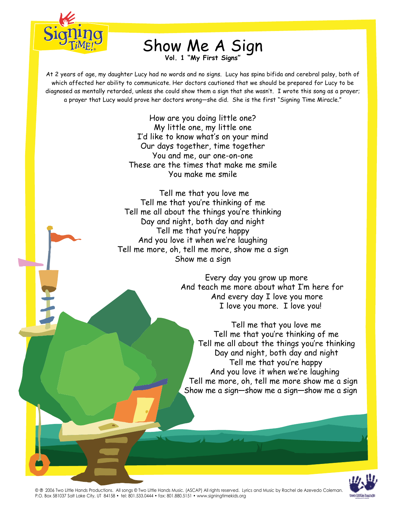

# Show Me A Sign

**Vol. 1 "My First Signs"**

At 2 years of age, my daughter Lucy had no words and no signs. Lucy has spina bifida and cerebral palsy, both of which affected her ability to communicate. Her doctors cautioned that we should be prepared for Lucy to be diagnosed as mentally retarded, unless she could show them a sign that she wasn't. I wrote this song as a prayer; a prayer that Lucy would prove her doctors wrong—she did. She is the first "Signing Time Miracle."

> How are you doing little one? My little one, my little one I'd like to know what's on your mind Our days together, time together You and me, our one-on-one These are the times that make me smile You make me smile

 Tell me that you love me Tell me that you're thinking of me Tell me all about the things you're thinking Day and night, both day and night Tell me that you're happy And you love it when we're laughing Tell me more, oh, tell me more, show me a sign Show me a sign

> Every day you grow up more And teach me more about what I'm here for And every day I love you more I love you more. I love you!

 Tell me that you love me Tell me that you're thinking of me Tell me all about the things you're thinking Day and night, both day and night Tell me that you're happy And you love it when we're laughing Tell me more, oh, tell me more show me a sign Show me a sign—show me a sign—show me a sign

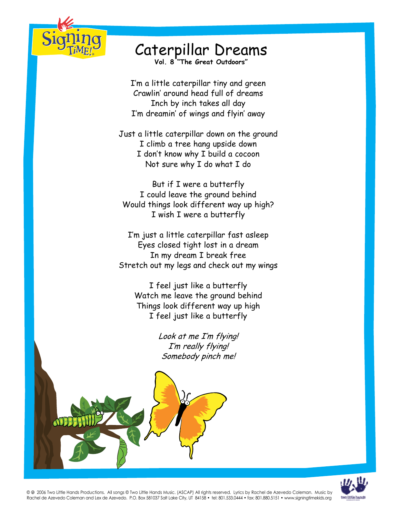

#### Caterpillar Dreams **Vol. 8 "The Great Outdoors"**

I'm a little caterpillar tiny and green Crawlin' around head full of dreams Inch by inch takes all day I'm dreamin' of wings and flyin' away

Just a little caterpillar down on the ground I climb a tree hang upside down I don't know why I build a cocoon Not sure why I do what I do

But if I were a butterfly I could leave the ground behind Would things look different way up high? I wish I were a butterfly

I'm just a little caterpillar fast asleep Eyes closed tight lost in a dream In my dream I break free Stretch out my legs and check out my wings

I feel just like a butterfly Watch me leave the ground behind Things look different way up high I feel just like a butterfly

> Look at me I'm flying! I'm really flying! Somebody pinch me!

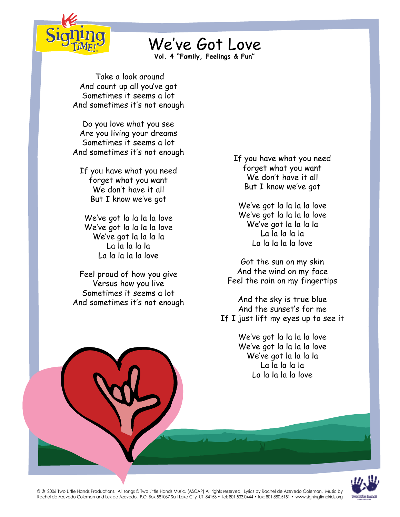

We've Got Love

**Vol. 4 "Family, Feelings & Fun"**

 Take a look around And count up all you've got Sometimes it seems a lot And sometimes it's not enough

Do you love what you see Are you living your dreams Sometimes it seems a lot And sometimes it's not enough

If you have what you need forget what you want We don't have it all But I know we've got

We've got la la la la love We've got la la la la love We've got la la la la La la la la la La la la la la love

Feel proud of how you give Versus how you live Sometimes it seems a lot And sometimes it's not enough If you have what you need forget what you want We don't have it all But I know we've got

We've got la la la la love We've got la la la la love We've got la la la la La la la la la La la la la la love

Got the sun on my skin And the wind on my face Feel the rain on my fingertips

And the sky is true blue And the sunset's for me If I just lift my eyes up to see it

> We've got la la la la love We've got la la la la love We've got la la la la La la la la la La la la la la love

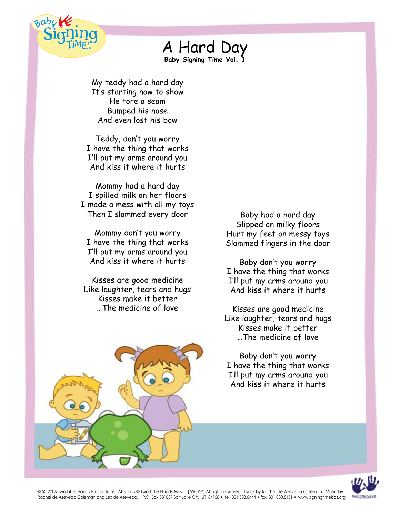

### A Hard Day

**Baby Signing Time Vol. 1**

My teddy had a hard day It's starting now to show He tore a seam Bumped his nose And even lost his bow

Teddy, don't you worry I have the thing that works I'll put my arms around you And kiss it where it hurts

Mommy had a hard day I spilled milk on her floors I made a mess with all my toys Then I slammed every door

Mommy don't you worry I have the thing that works I'll put my arms around you And kiss it where it hurts

Kisses are good medicine Like laughter, tears and hugs Kisses make it better …The medicine of love

Baby had a hard day Slipped on milky floors Hurt my feet on messy toys Slammed fingers in the door

Baby don't you worry I have the thing that works I'll put my arms around you And kiss it where it hurts

Kisses are good medicine Like laughter, tears and hugs Kisses make it better …The medicine of love

Baby don't you worry I have the thing that works I'll put my arms around you And kiss it where it hurts

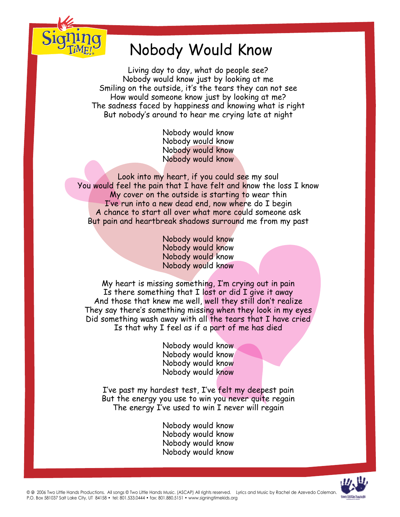

#### Nobody Would Know

Living day to day, what do people see? Nobody would know just by looking at me Smiling on the outside, it's the tears they can not see How would someone know just by looking at me? The sadness faced by happiness and knowing what is right But nobody's around to hear me crying late at night

> Nobody would know Nobody would know Nobody would know Nobody would know

Look into my heart, if you could see my soul You would feel the pain that I have felt and know the loss I know My cover on the outside is starting to wear thin I've run into a new dead end, now where do I begin A chance to start all over what more could someone ask But pain and heartbreak shadows surround me from my past

> Nobody would know Nobody would know Nobody would know Nobody would know

My heart is missing something, I'm crying out in pain Is there something that I lost or did I give it away And those that knew me well, well they still don't realize They say there's something missing when they look in my eyes Did something wash away with all the tears that I have cried Is that why I feel as if a part of me has died

> Nobody would know Nobody would know Nobody would know Nobody would know

I've past my hardest test, I've felt my deepest pain But the energy you use to win you never quite regain The energy I've used to win I never will regain

> Nobody would know Nobody would know Nobody would know Nobody would know

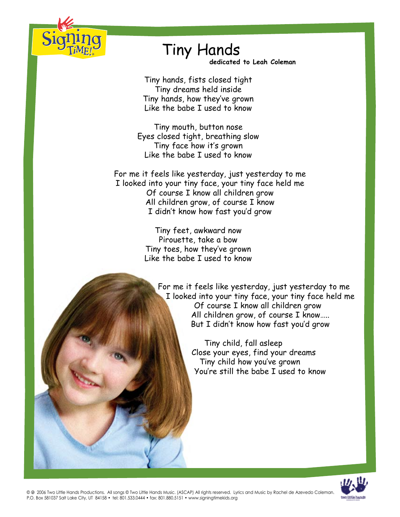

# Tiny Hands

 **dedicated to Leah Coleman**

Tiny hands, fists closed tight Tiny dreams held inside Tiny hands, how they've grown Like the babe I used to know

Tiny mouth, button nose Eyes closed tight, breathing slow Tiny face how it's grown Like the babe I used to know

For me it feels like yesterday, just yesterday to me I looked into your tiny face, your tiny face held me Of course I know all children grow All children grow, of course I know I didn't know how fast you'd grow

> Tiny feet, awkward now Pirouette, take a bow Tiny toes, how they've grown Like the babe I used to know

> > For me it feels like yesterday, just yesterday to me I looked into your tiny face, your tiny face held me Of course I know all children grow All children grow, of course I know….. But I didn't know how fast you'd grow

> > > Tiny child, fall asleep Close your eyes, find your dreams Tiny child how you've grown You're still the babe I used to know

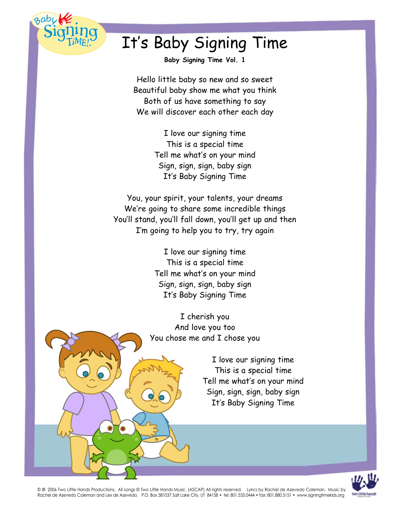

### It's Baby Signing Time

**Baby Signing Time Vol. 1**

Hello little baby so new and so sweet Beautiful baby show me what you think Both of us have something to say We will discover each other each day

> I love our signing time This is a special time Tell me what's on your mind Sign, sign, sign, baby sign It's Baby Signing Time

You, your spirit, your talents, your dreams We're going to share some incredible things You'll stand, you'll fall down, you'll get up and then I'm going to help you to try, try again

> I love our signing time This is a special time Tell me what's on your mind Sign, sign, sign, baby sign It's Baby Signing Time

I cherish you And love you too You chose me and I chose you

> I love our signing time This is a special time Tell me what's on your mind Sign, sign, sign, baby sign It's Baby Signing Time

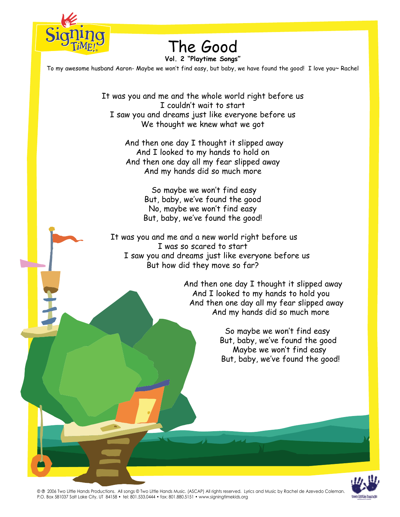

# The Good

**Vol. 2 "Playtime Songs"**

To my awesome husband Aaron- Maybe we won't find easy, but baby, we have found the good! I love you~ Rachel

It was you and me and the whole world right before us I couldn't wait to start I saw you and dreams just like everyone before us We thought we knew what we got

> And then one day I thought it slipped away And I looked to my hands to hold on And then one day all my fear slipped away And my hands did so much more

> > So maybe we won't find easy But, baby, we've found the good No, maybe we won't find easy But, baby, we've found the good!

 It was you and me and a new world right before us I was so scared to start I saw you and dreams just like everyone before us But how did they move so far?

> And then one day I thought it slipped away And I looked to my hands to hold you And then one day all my fear slipped away And my hands did so much more

> > So maybe we won't find easy But, baby, we've found the good Maybe we won't find easy But, baby, we've found the good!

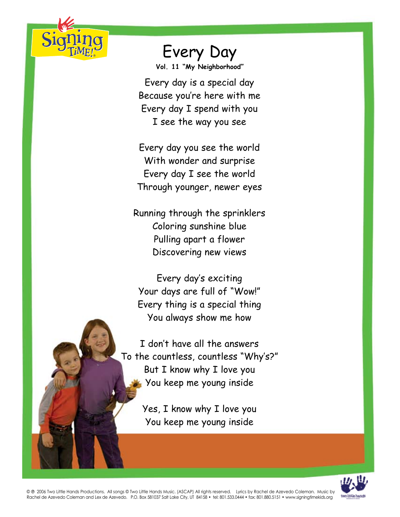

# Every Day

**Vol. 11 "My Neighborhood"**

Every day is a special day Because you're here with me Every day I spend with you I see the way you see

Every day you see the world With wonder and surprise Every day I see the world Through younger, newer eyes

Running through the sprinklers Coloring sunshine blue Pulling apart a flower Discovering new views

Every day's exciting Your days are full of "Wow!" Every thing is a special thing You always show me how

I don't have all the answers To the countless, countless "Why's?" But I know why I love you You keep me young inside

> Yes, I know why I love you You keep me young inside

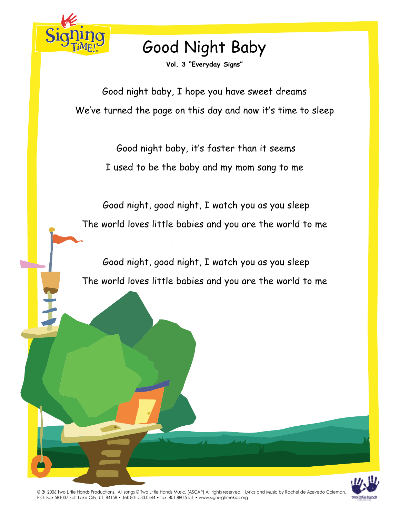

Good Night Baby

**Vol. 3 "Everyday Signs"**

Good night baby, I hope you have sweet dreams We've turned the page on this day and now it's time to sleep

> Good night baby, it's faster than it seems I used to be the baby and my mom sang to me

 Good night, good night, I watch you as you sleep The world loves little babies and you are the world to me

 Good night, good night, I watch you as you sleep The world loves little babies and you are the world to me

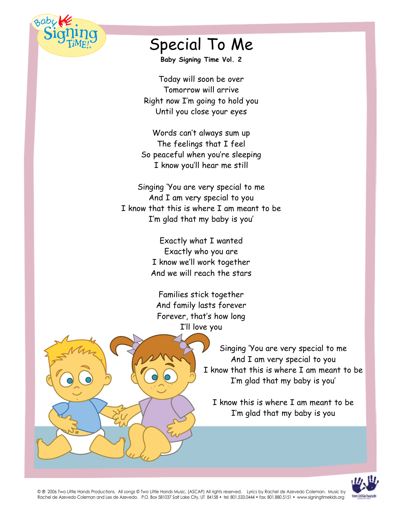

#### Special To Me

**Baby Signing Time Vol. 2**

Today will soon be over Tomorrow will arrive Right now I'm going to hold you Until you close your eyes

Words can't always sum up The feelings that I feel So peaceful when you're sleeping I know you'll hear me still

Singing 'You are very special to me And I am very special to you I know that this is where I am meant to be I'm glad that my baby is you'

> Exactly what I wanted Exactly who you are I know we'll work together And we will reach the stars

Families stick together And family lasts forever Forever, that's how long I'll love you



Singing 'You are very special to me And I am very special to you I know that this is where I am meant to be I'm glad that my baby is you'

I know this is where I am meant to be I'm glad that my baby is you